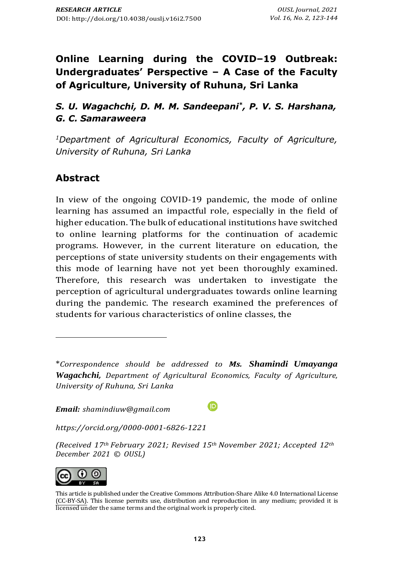# **Online Learning during the COVID–19 Outbreak: Undergraduates' Perspective – A Case of the Faculty of Agriculture, University of Ruhuna, Sri Lanka**

*S. U. Wagachchi, D. M. M. Sandeepani\* , P. V. S. Harshana, G. C. Samaraweera*

*<sup>1</sup>Department of Agricultural Economics, Faculty of Agriculture, University of Ruhuna, Sri Lanka*

## **Abstract**

In view of the ongoing COVID-19 pandemic, the mode of online learning has assumed an impactful role, especially in the field of higher education. The bulk of educational institutions have switched to online learning platforms for the continuation of academic programs. However, in the current literature on education, the perceptions of state university students on their engagements with this mode of learning have not yet been thoroughly examined. Therefore, this research was undertaken to investigate the perception of agricultural undergraduates towards online learning during the pandemic. The research examined the preferences of students for various characteristics of online classes, the

 $\boldsymbol{\mathbb{\boldsymbol{\Theta}}}$ 

*Email: [shamindiuw@gmail.com](mailto:shamindiuw@gmail.com)*

*[https://orcid.org/0](https://orcid.org/)000-0001-6826-1221*

*(Received 17th February 2021; Revised 15th November 2021; Accepted 12th December 2021 © OUSL)*



This article is published under th[e Creative Commons Attribution-Share Alike 4.0 International License](http://creativecommons.org/licenses/by-sa/4.0/) (CC-BY-SA). This license permits use, distribution and reproduction in any medium; provided it is licensed under the same terms and the original work is properly cited.

<sup>\*</sup>*Correspondence should be addressed to Ms. Shamindi Umayanga Wagachchi, Department of Agricultural Economics, Faculty of Agriculture, University of Ruhuna, Sri Lanka*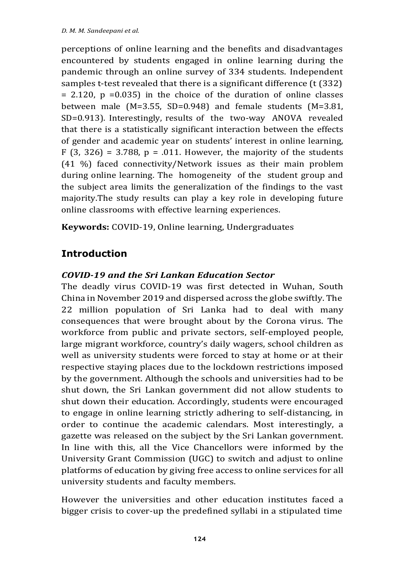perceptions of online learning and the benefits and disadvantages encountered by students engaged in online learning during the pandemic through an online survey of 334 students. Independent samples t-test revealed that there is a significant difference (t (332)  $= 2.120$ ,  $p = 0.035$ ) in the choice of the duration of online classes between male (M=3.55, SD=0.948) and female students (M=3.81, SD=0.913). Interestingly, results of the two-way ANOVA revealed that there is a statistically significant interaction between the effects of gender and academic year on students' interest in online learning, F  $(3, 326) = 3.788$ ,  $p = .011$ . However, the majority of the students (41 %) faced connectivity/Network issues as their main problem during online learning. The homogeneity of the student group and the subject area limits the generalization of the findings to the vast majority.The study results can play a key role in developing future online classrooms with effective learning experiences.

**Keywords:** COVID-19, Online learning, Undergraduates

# **Introduction**

### *COVID-19 and the Sri Lankan Education Sector*

The deadly virus COVID-19 was first detected in Wuhan, South China in November 2019 and dispersed across the globe swiftly. The 22 million population of Sri Lanka had to deal with many consequences that were brought about by the Corona virus. The workforce from public and private sectors, self-employed people, large migrant workforce, country's daily wagers, school children as well as university students were forced to stay at home or at their respective staying places due to the lockdown restrictions imposed by the government. Although the schools and universities had to be shut down, the Sri Lankan government did not allow students to shut down their education. Accordingly, students were encouraged to engage in online learning strictly adhering to self-distancing, in order to continue the academic calendars. Most interestingly, a gazette was released on the subject by the Sri Lankan government. In line with this, all the Vice Chancellors were informed by the University Grant Commission (UGC) to switch and adjust to online platforms of education by giving free access to online services for all university students and faculty members.

However the universities and other education institutes faced a bigger crisis to cover-up the predefined syllabi in a stipulated time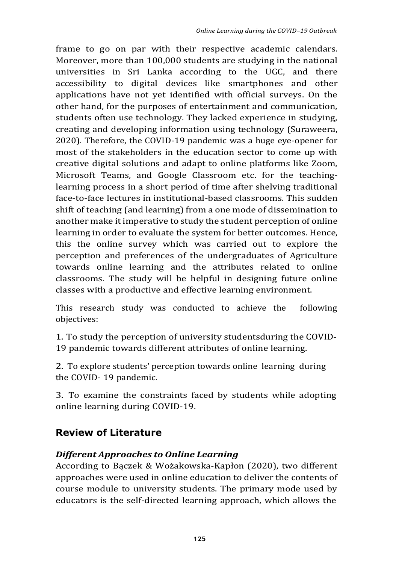frame to go on par with their respective academic calendars. Moreover, more than 100,000 students are studying in the national universities in Sri Lanka according to the UGC, and there accessibility to digital devices like smartphones and other applications have not yet identified with official surveys. On the other hand, for the purposes of entertainment and communication, students often use technology. They lacked experience in studying, creating and developing information using technology (Suraweera, 2020). Therefore, the COVID-19 pandemic was a huge eye-opener for most of the stakeholders in the education sector to come up with creative digital solutions and adapt to online platforms like Zoom, Microsoft Teams, and Google Classroom etc. for the teachinglearning process in a short period of time after shelving traditional face-to-face lectures in institutional-based classrooms. This sudden shift of teaching (and learning) from a one mode of dissemination to another make it imperative to study the student perception of online learning in order to evaluate the system for better outcomes. Hence, this the online survey which was carried out to explore the perception and preferences of the undergraduates of Agriculture towards online learning and the attributes related to online classrooms. The study will be helpful in designing future online classes with a productive and effective learning environment.

This research study was conducted to achieve the following objectives:

1. To study the perception of university studentsduring the COVID-19 pandemic towards different attributes of online learning.

2. To explore students' perception towards online learning during the COVID- 19 pandemic.

3. To examine the constraints faced by students while adopting online learning during COVID-19.

## **Review of Literature**

#### *Different Approaches to Online Learning*

According to Bączek & Wożakowska-Kapłon (2020), two different approaches were used in online education to deliver the contents of course module to university students. The primary mode used by educators is the self-directed learning approach, which allows the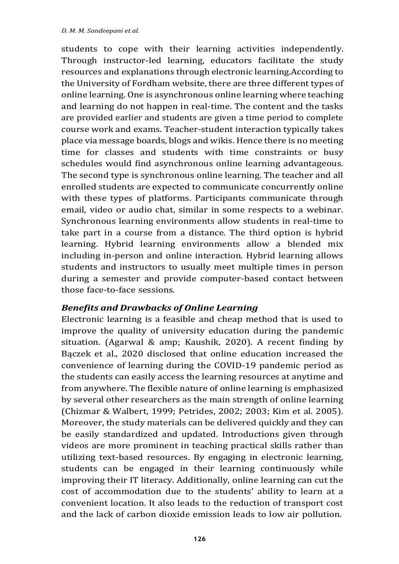students to cope with their learning activities independently. Through instructor-led learning, educators facilitate the study resources and explanations through electronic learning.According to the University of Fordham website, there are three different types of online learning. One is asynchronous online learning where teaching and learning do not happen in real-time. The content and the tasks are provided earlier and students are given a time period to complete course work and exams. Teacher-student interaction typically takes place via message boards, blogs and wikis. Hence there is no meeting time for classes and students with time constraints or busy schedules would find asynchronous online learning advantageous. The second type is synchronous online learning. The teacher and all enrolled students are expected to communicate concurrently online with these types of platforms. Participants communicate through email, video or audio chat, similar in some respects to a webinar. Synchronous learning environments allow students in real-time to take part in a course from a distance. The third option is hybrid learning. Hybrid learning environments allow a blended mix including in-person and online interaction. Hybrid learning allows students and instructors to usually meet multiple times in person during a semester and provide computer-based contact between those face-to-face sessions.

#### *Benefits and Drawbacks of Online Learning*

Electronic learning is a feasible and cheap method that is used to improve the quality of university education during the pandemic situation. (Agarwal & amp; Kaushik, 2020). A recent finding by Bączek et al., 2020 disclosed that online education increased the convenience of learning during the COVID-19 pandemic period as the students can easily access the learning resources at anytime and from anywhere. The flexible nature of online learning is emphasized by several other researchers as the main strength of online learning (Chizmar & Walbert, 1999; Petrides, 2002; 2003; Kim et al. 2005). Moreover, the study materials can be delivered quickly and they can be easily standardized and updated. Introductions given through videos are more prominent in teaching practical skills rather than utilizing text-based resources. By engaging in electronic learning, students can be engaged in their learning continuously while improving their IT literacy. Additionally, online learning can cut the cost of accommodation due to the students' ability to learn at a convenient location. It also leads to the reduction of transport cost and the lack of carbon dioxide emission leads to low air pollution.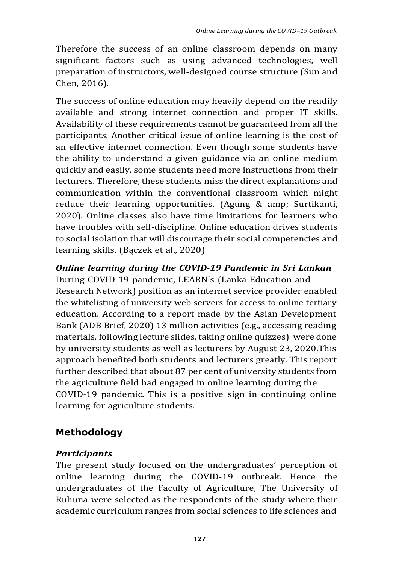Therefore the success of an online classroom depends on many significant factors such as using advanced technologies, well preparation of instructors, well-designed course structure (Sun and Chen, 2016).

The success of online education may heavily depend on the readily available and strong internet connection and proper IT skills. Availability of these requirements cannot be guaranteed from all the participants. Another critical issue of online learning is the cost of an effective internet connection. Even though some students have the ability to understand a given guidance via an online medium quickly and easily, some students need more instructions from their lecturers. Therefore, these students miss the direct explanations and communication within the conventional classroom which might reduce their learning opportunities. (Agung & amp; Surtikanti, 2020). Online classes also have time limitations for learners who have troubles with self-discipline. Online education drives students to social isolation that will discourage their social competencies and learning skills. (Bączek et al., 2020)

*Online learning during the COVID-19 Pandemic in Sri Lankan*

During COVID-19 pandemic, LEARN's (Lanka Education and Research Network) position as an internet service provider enabled the whitelisting of university web servers for access to online tertiary education. According to a report made by the Asian Development Bank (ADB Brief, 2020) 13 million activities (e.g., accessing reading materials, following lecture slides, taking online quizzes) were done by university students as well as lecturers by August 23, 2020.This approach benefited both students and lecturers greatly. This report further described that about 87 per cent of university students from the agriculture field had engaged in online learning during the COVID-19 pandemic. This is a positive sign in continuing online learning for agriculture students.

# **Methodology**

### *Participants*

The present study focused on the undergraduates' perception of online learning during the COVID-19 outbreak. Hence the undergraduates of the Faculty of Agriculture, The University of Ruhuna were selected as the respondents of the study where their academic curriculum ranges from social sciences to life sciences and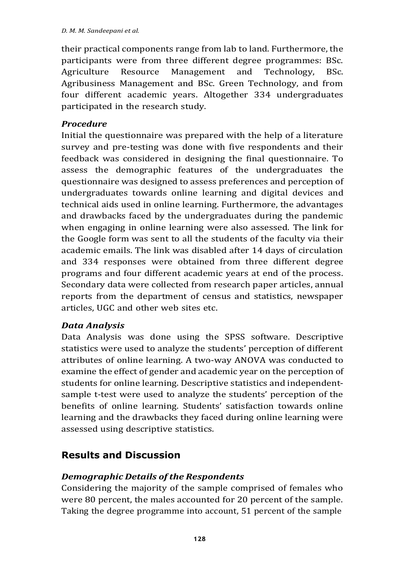their practical components range from lab to land. Furthermore, the participants were from three different degree programmes: BSc. Agriculture Resource Management and Technology, BSc. Agribusiness Management and BSc. Green Technology, and from four different academic years. Altogether 334 undergraduates participated in the research study.

#### *Procedure*

Initial the questionnaire was prepared with the help of a literature survey and pre-testing was done with five respondents and their feedback was considered in designing the final questionnaire. To assess the demographic features of the undergraduates the questionnaire was designed to assess preferences and perception of undergraduates towards online learning and digital devices and technical aids used in online learning. Furthermore, the advantages and drawbacks faced by the undergraduates during the pandemic when engaging in online learning were also assessed. The link for the Google form was sent to all the students of the faculty via their academic emails. The link was disabled after 14 days of circulation and 334 responses were obtained from three different degree programs and four different academic years at end of the process. Secondary data were collected from research paper articles, annual reports from the department of census and statistics, newspaper articles, UGC and other web sites etc.

#### *Data Analysis*

Data Analysis was done using the SPSS software. Descriptive statistics were used to analyze the students' perception of different attributes of online learning. A two-way ANOVA was conducted to examine the effect of gender and academic year on the perception of students for online learning. Descriptive statistics and independentsample t-test were used to analyze the students' perception of the benefits of online learning. Students' satisfaction towards online learning and the drawbacks they faced during online learning were assessed using descriptive statistics.

## **Results and Discussion**

#### *Demographic Details of the Respondents*

Considering the majority of the sample comprised of females who were 80 percent, the males accounted for 20 percent of the sample. Taking the degree programme into account, 51 percent of the sample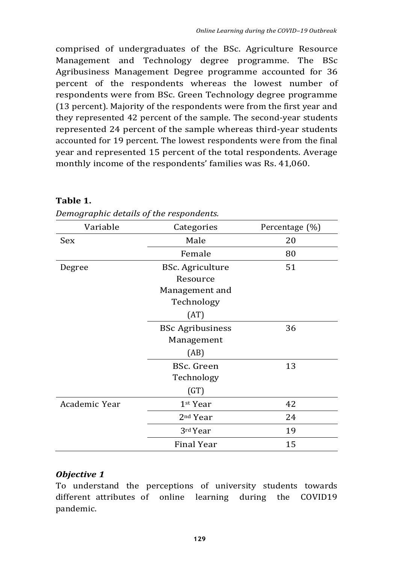comprised of undergraduates of the BSc. Agriculture Resource Management and Technology degree programme. The BSc Agribusiness Management Degree programme accounted for 36 percent of the respondents whereas the lowest number of respondents were from BSc. Green Technology degree programme (13 percent). Majority of the respondents were from the first year and they represented 42 percent of the sample. The second-year students represented 24 percent of the sample whereas third-year students accounted for 19 percent. The lowest respondents were from the final year and represented 15 percent of the total respondents. Average monthly income of the respondents' families was Rs. 41,060.

#### **Table 1.**

| Variable      | Categories              | Percentage (%) |
|---------------|-------------------------|----------------|
| Sex           | Male                    | 20             |
|               | Female                  | 80             |
| Degree        | <b>BSc.</b> Agriculture | 51             |
|               | Resource                |                |
|               | Management and          |                |
|               | Technology              |                |
|               | (AT)                    |                |
|               | <b>BSc Agribusiness</b> | 36             |
|               | Management              |                |
|               | (AB)                    |                |
|               | BSc. Green              | 13             |
|               | Technology              |                |
|               | (GT)                    |                |
| Academic Year | 1 <sup>st</sup> Year    | 42             |
|               | 2 <sup>nd</sup> Year    | 24             |
|               | 3rd Year                | 19             |
|               | <b>Final Year</b>       | 15             |

*Demographic details of the respondents.*

#### *Objective 1*

To understand the perceptions of university students towards different attributes of online learning during the COVID19 pandemic.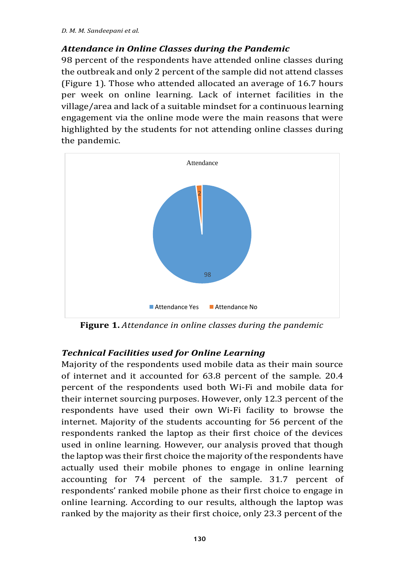#### *Attendance in Online Classes during the Pandemic*

98 percent of the respondents have attended online classes during the outbreak and only 2 percent of the sample did not attend classes (Figure 1). Those who attended allocated an average of 16.7 hours per week on online learning. Lack of internet facilities in the village/area and lack of a suitable mindset for a continuous learning engagement via the online mode were the main reasons that were highlighted by the students for not attending online classes during the pandemic.



**Figure 1.** *Attendance in online classes during the pandemic*

#### *Technical Facilities used for Online Learning*

Majority of the respondents used mobile data as their main source of internet and it accounted for 63.8 percent of the sample. 20.4 percent of the respondents used both Wi-Fi and mobile data for their internet sourcing purposes. However, only 12.3 percent of the respondents have used their own Wi-Fi facility to browse the internet. Majority of the students accounting for 56 percent of the respondents ranked the laptop as their first choice of the devices used in online learning. However, our analysis proved that though the laptop was their first choice the majority of the respondents have actually used their mobile phones to engage in online learning accounting for 74 percent of the sample. 31.7 percent of respondents' ranked mobile phone as their first choice to engage in online learning. According to our results, although the laptop was ranked by the majority as their first choice, only 23.3 percent of the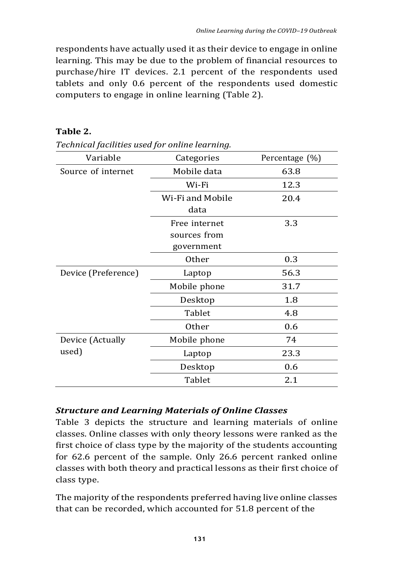respondents have actually used it as their device to engage in online learning. This may be due to the problem of financial resources to purchase/hire IT devices. 2.1 percent of the respondents used tablets and only 0.6 percent of the respondents used domestic computers to engage in online learning (Table 2).

| Technical facilities used for online learning. |                  |                |
|------------------------------------------------|------------------|----------------|
| Variable                                       | Categories       | Percentage (%) |
| Source of internet                             | Mobile data      | 63.8           |
|                                                | Wi-Fi            | 12.3           |
|                                                | Wi-Fi and Mobile | 20.4           |
|                                                | data             |                |
|                                                | Free internet    | 3.3            |
|                                                | sources from     |                |
|                                                | government       |                |
|                                                | Other            | 0.3            |
| Device (Preference)                            | Laptop           | 56.3           |
|                                                | Mobile phone     | 31.7           |
|                                                | Desktop          | 1.8            |
|                                                | Tablet           | 4.8            |
|                                                | Other            | 0.6            |
| Device (Actually                               | Mobile phone     | 74             |
| used)                                          | Laptop           | 23.3           |
|                                                | Desktop          | 0.6            |
|                                                | Tablet           | 2.1            |

### **Table 2.**

#### *Structure and Learning Materials of Online Classes*

Table 3 depicts the structure and learning materials of online classes. Online classes with only theory lessons were ranked as the first choice of class type by the majority of the students accounting for 62.6 percent of the sample. Only 26.6 percent ranked online classes with both theory and practical lessons as their first choice of class type.

The majority of the respondents preferred having live online classes that can be recorded, which accounted for 51.8 percent of the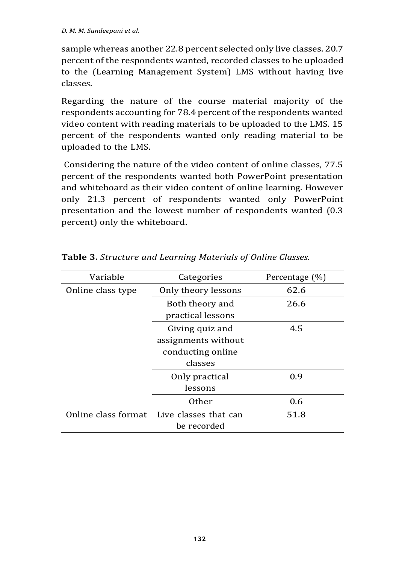sample whereas another 22.8 percent selected only live classes. 20.7 percent of the respondents wanted, recorded classes to be uploaded to the (Learning Management System) LMS without having live classes.

Regarding the nature of the course material majority of the respondents accounting for 78.4 percent of the respondents wanted video content with reading materials to be uploaded to the LMS. 15 percent of the respondents wanted only reading material to be uploaded to the LMS.

Considering the nature of the video content of online classes, 77.5 percent of the respondents wanted both PowerPoint presentation and whiteboard as their video content of online learning. However only 21.3 percent of respondents wanted only PowerPoint presentation and the lowest number of respondents wanted (0.3 percent) only the whiteboard.

| Variable          | Categories                                | Percentage $(\%)$ |
|-------------------|-------------------------------------------|-------------------|
| Online class type | Only theory lessons                       | 62.6              |
|                   | Both theory and                           | 26.6              |
|                   | practical lessons                         |                   |
|                   | Giving quiz and                           | 4.5               |
|                   | assignments without                       |                   |
|                   | conducting online                         |                   |
|                   | classes                                   |                   |
|                   | Only practical                            | 0.9               |
|                   | lessons                                   |                   |
|                   | Other                                     | 0.6               |
|                   | Online class format Live classes that can | 51.8              |
|                   | be recorded                               |                   |

**Table 3.** *Structure and Learning Materials of Online Classes.*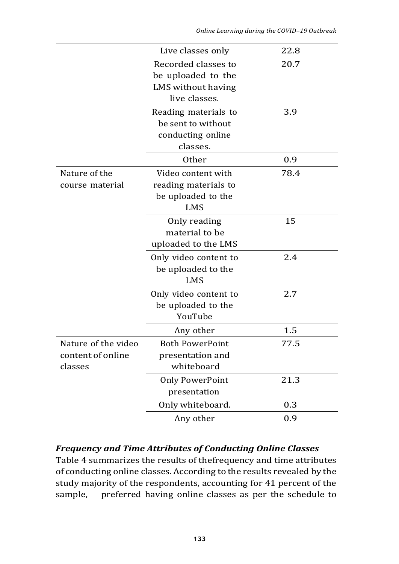|  | Online Learning during the COVID-19 Outbreak |
|--|----------------------------------------------|
|--|----------------------------------------------|

|                     | Live classes only      | 22.8 |
|---------------------|------------------------|------|
|                     | Recorded classes to    | 20.7 |
|                     | be uploaded to the     |      |
|                     | LMS without having     |      |
|                     | live classes.          |      |
|                     | Reading materials to   | 3.9  |
|                     | be sent to without     |      |
|                     | conducting online      |      |
|                     | classes.               |      |
|                     | Other                  | 0.9  |
| Nature of the       | Video content with     | 78.4 |
| course material     | reading materials to   |      |
|                     | be uploaded to the     |      |
|                     | <b>LMS</b>             |      |
|                     | Only reading           | 15   |
|                     | material to be         |      |
|                     | uploaded to the LMS    |      |
|                     | Only video content to  | 2.4  |
|                     | be uploaded to the     |      |
|                     | <b>LMS</b>             |      |
|                     | Only video content to  | 2.7  |
|                     | be uploaded to the     |      |
|                     | YouTube                |      |
|                     | Any other              | 1.5  |
| Nature of the video | <b>Both PowerPoint</b> | 77.5 |
| content of online   | presentation and       |      |
| classes             | whiteboard             |      |
|                     | <b>Only PowerPoint</b> | 21.3 |
|                     | presentation           |      |
|                     | Only whiteboard.       | 0.3  |
|                     | Any other              | 0.9  |

#### *Frequency and Time Attributes of Conducting Online Classes*

Table 4 summarizes the results of thefrequency and time attributes of conducting online classes. According to the results revealed by the study majority of the respondents, accounting for 41 percent of the sample, preferred having online classes as per the schedule to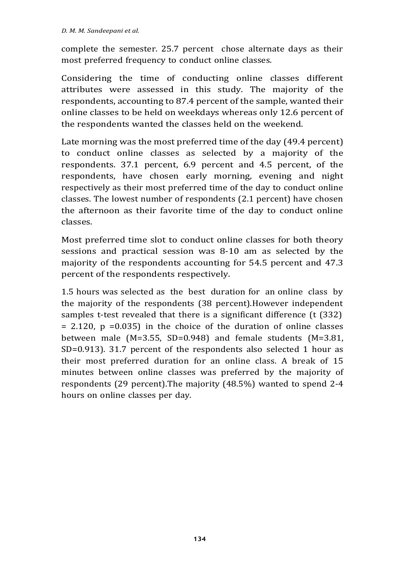complete the semester. 25.7 percent chose alternate days as their most preferred frequency to conduct online classes.

Considering the time of conducting online classes different attributes were assessed in this study. The majority of the respondents, accounting to 87.4 percent of the sample, wanted their online classes to be held on weekdays whereas only 12.6 percent of the respondents wanted the classes held on the weekend.

Late morning was the most preferred time of the day (49.4 percent) to conduct online classes as selected by a majority of the respondents. 37.1 percent, 6.9 percent and 4.5 percent, of the respondents, have chosen early morning, evening and night respectively as their most preferred time of the day to conduct online classes. The lowest number of respondents (2.1 percent) have chosen the afternoon as their favorite time of the day to conduct online classes.

Most preferred time slot to conduct online classes for both theory sessions and practical session was 8-10 am as selected by the majority of the respondents accounting for 54.5 percent and 47.3 percent of the respondents respectively.

1.5 hours was selected as the best duration for an online class by the majority of the respondents (38 percent).However independent samples t-test revealed that there is a significant difference (t (332)  $= 2.120$ ,  $p = 0.035$  in the choice of the duration of online classes between male (M=3.55, SD=0.948) and female students (M=3.81, SD=0.913). 31.7 percent of the respondents also selected 1 hour as their most preferred duration for an online class. A break of 15 minutes between online classes was preferred by the majority of respondents (29 percent).The majority (48.5%) wanted to spend 2-4 hours on online classes per day.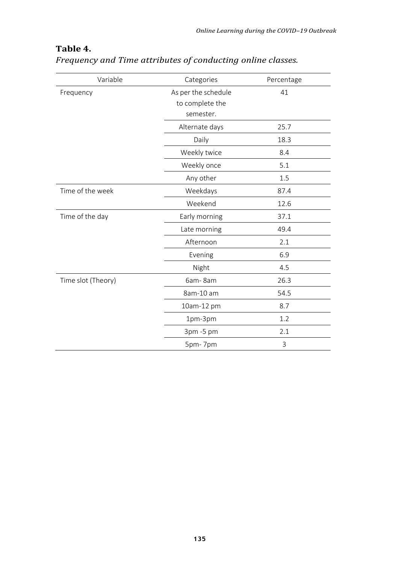| Variable           | Categories          | Percentage |
|--------------------|---------------------|------------|
| Frequency          | As per the schedule | 41         |
|                    | to complete the     |            |
|                    | semester.           |            |
|                    | Alternate days      | 25.7       |
|                    | Daily               | 18.3       |
|                    | Weekly twice        | 8.4        |
|                    | Weekly once         | 5.1        |
|                    | Any other           | 1.5        |
| Time of the week   | Weekdays            | 87.4       |
|                    | Weekend             | 12.6       |
| Time of the day    | Early morning       | 37.1       |
|                    | Late morning        | 49.4       |
|                    | Afternoon           | 2.1        |
|                    | Evening             | 6.9        |
|                    | Night               | 4.5        |
| Time slot (Theory) | 6am-8am             | 26.3       |
|                    | 8am-10 am           | 54.5       |
|                    | 10am-12 pm          | 8.7        |
|                    | 1pm-3pm             | 1.2        |
|                    | 3pm-5pm             | 2.1        |
|                    | 5pm-7pm             | 3          |

## *Frequency and Time attributes of conducting online classes.*

**Table 4.**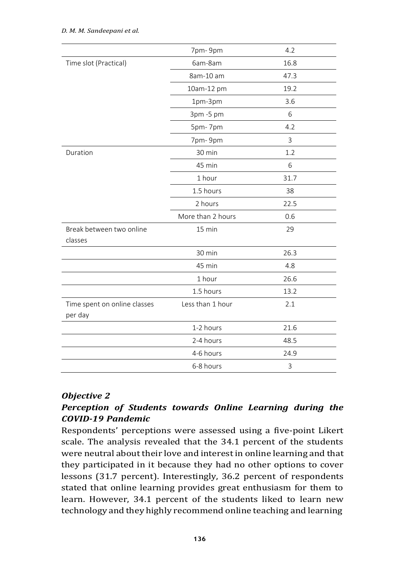|                                         | 7pm-9pm           | 4.2  |
|-----------------------------------------|-------------------|------|
| Time slot (Practical)                   | 6am-8am           | 16.8 |
|                                         | 8am-10 am         | 47.3 |
|                                         | 10am-12 pm        | 19.2 |
|                                         | 1pm-3pm           | 3.6  |
|                                         | 3pm-5 pm          | 6    |
|                                         | 5pm-7pm           | 4.2  |
|                                         | 7pm-9pm           | 3    |
| Duration                                | 30 min            | 1.2  |
|                                         | 45 min            | 6    |
|                                         | 1 hour            | 31.7 |
|                                         | 1.5 hours         | 38   |
|                                         | 2 hours           | 22.5 |
|                                         | More than 2 hours | 0.6  |
| Break between two online                | 15 min            | 29   |
| classes                                 |                   |      |
|                                         | 30 min            | 26.3 |
|                                         | 45 min            | 4.8  |
|                                         | 1 hour            | 26.6 |
|                                         | 1.5 hours         | 13.2 |
| Time spent on online classes<br>per day | Less than 1 hour  | 2.1  |
|                                         | 1-2 hours         | 21.6 |
|                                         | 2-4 hours         | 48.5 |
|                                         | 4-6 hours         | 24.9 |
|                                         | 6-8 hours         | 3    |

#### *Objective 2*

### *Perception of Students towards Online Learning during the COVID-19 Pandemic*

Respondents' perceptions were assessed using a five-point Likert scale. The analysis revealed that the 34.1 percent of the students were neutral about their love and interest in online learning and that they participated in it because they had no other options to cover lessons (31.7 percent). Interestingly, 36.2 percent of respondents stated that online learning provides great enthusiasm for them to learn. However, 34.1 percent of the students liked to learn new technology and they highly recommend online teaching and learning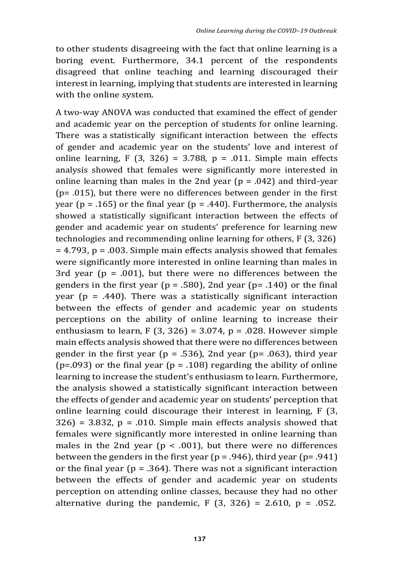to other students disagreeing with the fact that online learning is a boring event. Furthermore, 34.1 percent of the respondents disagreed that online teaching and learning discouraged their interest in learning, implying that students are interested in learning with the online system.

A two-way ANOVA was conducted that examined the effect of gender and academic year on the perception of students for online learning. There was a statistically significant interaction between the effects of gender and academic year on the students' love and interest of online learning, F  $(3, 326) = 3.788$ , p = .011. Simple main effects analysis showed that females were significantly more interested in online learning than males in the 2nd year  $(p = .042)$  and third-year  $(p= .015)$ , but there were no differences between gender in the first year ( $p = .165$ ) or the final year ( $p = .440$ ). Furthermore, the analysis showed a statistically significant interaction between the effects of gender and academic year on students' preference for learning new technologies and recommending online learning for others, F (3, 326)  $=$  4.793, p = .003. Simple main effects analysis showed that females were significantly more interested in online learning than males in 3rd year ( $p = .001$ ), but there were no differences between the genders in the first year ( $p = .580$ ), 2nd year ( $p = .140$ ) or the final year ( $p = .440$ ). There was a statistically significant interaction between the effects of gender and academic year on students perceptions on the ability of online learning to increase their enthusiasm to learn, F  $(3, 326) = 3.074$ , p = .028. However simple main effects analysis showed that there were no differences between gender in the first year ( $p = .536$ ), 2nd year ( $p = .063$ ), third year ( $p = .093$ ) or the final year ( $p = .108$ ) regarding the ability of online learning to increase the student's enthusiasm to learn. Furthermore, the analysis showed a statistically significant interaction between the effects of gender and academic year on students' perception that online learning could discourage their interest in learning, F (3,  $326$  = 3.832, p = .010. Simple main effects analysis showed that females were significantly more interested in online learning than males in the 2nd year ( $p < .001$ ), but there were no differences between the genders in the first year ( $p = .946$ ), third year ( $p = .941$ ) or the final year ( $p = .364$ ). There was not a significant interaction between the effects of gender and academic year on students perception on attending online classes, because they had no other alternative during the pandemic, F  $(3, 326) = 2.610$ , p = .052.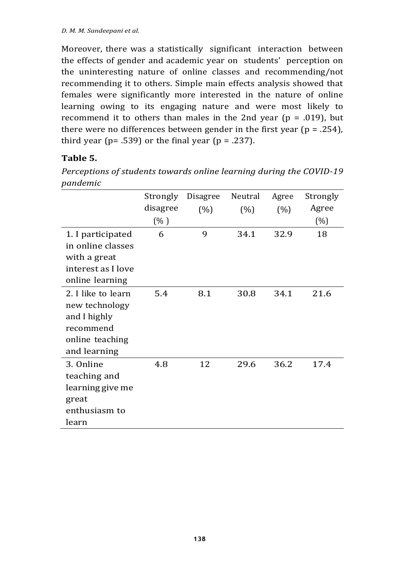Moreover, there was a statistically significant interaction between the effects of gender and academic year on students' perception on the uninteresting nature of online classes and recommending/not recommending it to others. Simple main effects analysis showed that females were significantly more interested in the nature of online learning owing to its engaging nature and were most likely to recommend it to others than males in the 2nd year ( $p = .019$ ), but there were no differences between gender in the first year ( $p = .254$ ), third year ( $p = .539$ ) or the final year ( $p = .237$ ).

#### **Table 5.**

*Perceptions of students towards online learning during the COVID-19 pandemic*

|                    | Strongly | <b>Disagree</b> | Neutral | Agree | Strongly |
|--------------------|----------|-----------------|---------|-------|----------|
|                    | disagree | (% )            | (% )    | (%)   | Agree    |
|                    | (% )     |                 |         |       | $(\% )$  |
| 1. I participated  | 6        | 9               | 34.1    | 32.9  | 18       |
| in online classes  |          |                 |         |       |          |
| with a great       |          |                 |         |       |          |
| interest as I love |          |                 |         |       |          |
| online learning    |          |                 |         |       |          |
| 2. I like to learn | 5.4      | 8.1             | 30.8    | 34.1  | 21.6     |
| new technology     |          |                 |         |       |          |
| and I highly       |          |                 |         |       |          |
| recommend          |          |                 |         |       |          |
| online teaching    |          |                 |         |       |          |
| and learning       |          |                 |         |       |          |
| 3. Online          | 4.8      | 12              | 29.6    | 36.2  | 17.4     |
| teaching and       |          |                 |         |       |          |
| learning give me   |          |                 |         |       |          |
| great              |          |                 |         |       |          |
| enthusiasm to      |          |                 |         |       |          |
| learn              |          |                 |         |       |          |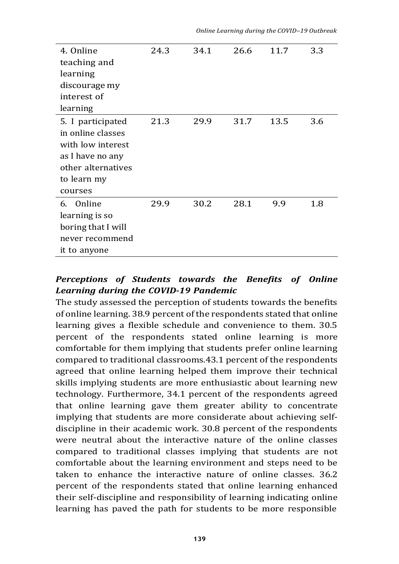|  | Online Learning during the COVID–19 Outbreak |
|--|----------------------------------------------|
|--|----------------------------------------------|

| 4. Online          | 24.3 | 34.1 | 26.6 | 11.7 | 3.3 |
|--------------------|------|------|------|------|-----|
| teaching and       |      |      |      |      |     |
| learning           |      |      |      |      |     |
| discourage my      |      |      |      |      |     |
| interest of        |      |      |      |      |     |
| learning           |      |      |      |      |     |
| 5. I participated  | 21.3 | 29.9 | 31.7 | 13.5 | 3.6 |
| in online classes  |      |      |      |      |     |
| with low interest  |      |      |      |      |     |
| as I have no any   |      |      |      |      |     |
| other alternatives |      |      |      |      |     |
| to learn my        |      |      |      |      |     |
| courses            |      |      |      |      |     |
| 6. Online          | 29.9 | 30.2 | 28.1 | 9.9  | 1.8 |
| learning is so     |      |      |      |      |     |
| boring that I will |      |      |      |      |     |
| never recommend    |      |      |      |      |     |
| it to anyone       |      |      |      |      |     |

### *Perceptions of Students towards the Benefits of Online Learning during the COVID-19 Pandemic*

The study assessed the perception of students towards the benefits of online learning. 38.9 percent of the respondents stated that online learning gives a flexible schedule and convenience to them. 30.5 percent of the respondents stated online learning is more comfortable for them implying that students prefer online learning compared to traditional classrooms.43.1 percent of the respondents agreed that online learning helped them improve their technical skills implying students are more enthusiastic about learning new technology. Furthermore, 34.1 percent of the respondents agreed that online learning gave them greater ability to concentrate implying that students are more considerate about achieving selfdiscipline in their academic work. 30.8 percent of the respondents were neutral about the interactive nature of the online classes compared to traditional classes implying that students are not comfortable about the learning environment and steps need to be taken to enhance the interactive nature of online classes. 36.2 percent of the respondents stated that online learning enhanced their self-discipline and responsibility of learning indicating online learning has paved the path for students to be more responsible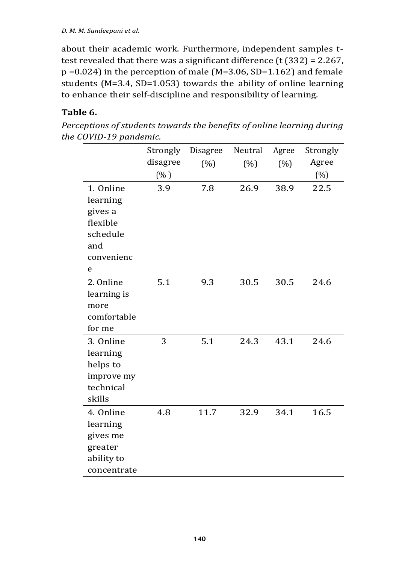about their academic work. Furthermore, independent samples ttest revealed that there was a significant difference  $(t (332) = 2.267)$ , p =0.024) in the perception of male (M=3.06, SD=1.162) and female students (M=3.4, SD=1.053) towards the ability of online learning to enhance their self-discipline and responsibility of learning.

#### **Table 6.**

*Perceptions of students towards the benefits of online learning during the COVID-19 pandemic.*

|             | Strongly | Disagree | Neutral | Agree | Strongly |
|-------------|----------|----------|---------|-------|----------|
|             | disagree | (%)      | (%)     | (%)   | Agree    |
|             | (% )     |          |         |       | $(\%)$   |
| 1. Online   | 3.9      | 7.8      | 26.9    | 38.9  | 22.5     |
| learning    |          |          |         |       |          |
| gives a     |          |          |         |       |          |
| flexible    |          |          |         |       |          |
| schedule    |          |          |         |       |          |
| and         |          |          |         |       |          |
| convenienc  |          |          |         |       |          |
| e           |          |          |         |       |          |
| 2. Online   | 5.1      | 9.3      | 30.5    | 30.5  | 24.6     |
| learning is |          |          |         |       |          |
| more        |          |          |         |       |          |
| comfortable |          |          |         |       |          |
| for me      |          |          |         |       |          |
| 3. Online   | 3        | 5.1      | 24.3    | 43.1  | 24.6     |
| learning    |          |          |         |       |          |
| helps to    |          |          |         |       |          |
| improve my  |          |          |         |       |          |
| technical   |          |          |         |       |          |
| skills      |          |          |         |       |          |
| 4. Online   | 4.8      | 11.7     | 32.9    | 34.1  | 16.5     |
| learning    |          |          |         |       |          |
| gives me    |          |          |         |       |          |
| greater     |          |          |         |       |          |
| ability to  |          |          |         |       |          |
| concentrate |          |          |         |       |          |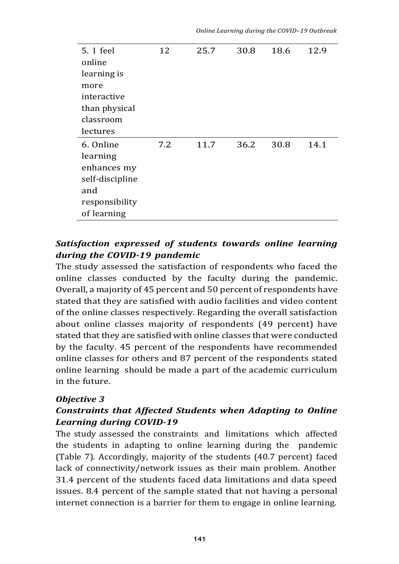*Online Learning during the COVID–19 Outbreak*

| 5. I feel       | 12  | 25.7 | 30.8 | 18.6 | 12.9 |
|-----------------|-----|------|------|------|------|
| online          |     |      |      |      |      |
| learning is     |     |      |      |      |      |
| more            |     |      |      |      |      |
| interactive     |     |      |      |      |      |
| than physical   |     |      |      |      |      |
| classroom       |     |      |      |      |      |
| lectures        |     |      |      |      |      |
| 6. Online       | 7.2 | 11.7 | 36.2 | 30.8 | 14.1 |
| learning        |     |      |      |      |      |
| enhances my     |     |      |      |      |      |
|                 |     |      |      |      |      |
| self-discipline |     |      |      |      |      |
| and             |     |      |      |      |      |
| responsibility  |     |      |      |      |      |

### *Satisfaction expressed of students towards online learning during the COVID-19 pandemic*

The study assessed the satisfaction of respondents who faced the online classes conducted by the faculty during the pandemic. Overall, a majority of 45 percent and 50 percent of respondents have stated that they are satisfied with audio facilities and video content of the online classes respectively. Regarding the overall satisfaction about online classes majority of respondents (49 percent) have stated that they are satisfied with online classes that were conducted by the faculty. 45 percent of the respondents have recommended online classes for others and 87 percent of the respondents stated online learning should be made a part of the academic curriculum in the future.

#### *Objective 3*

### *Constraints that Affected Students when Adapting to Online Learning during COVID-19*

The study assessed the constraints and limitations which affected the students in adapting to online learning during the pandemic (Table 7). Accordingly, majority of the students (40.7 percent) faced lack of connectivity/network issues as their main problem. Another 31.4 percent of the students faced data limitations and data speed issues. 8.4 percent of the sample stated that not having a personal internet connection is a barrier for them to engage in online learning.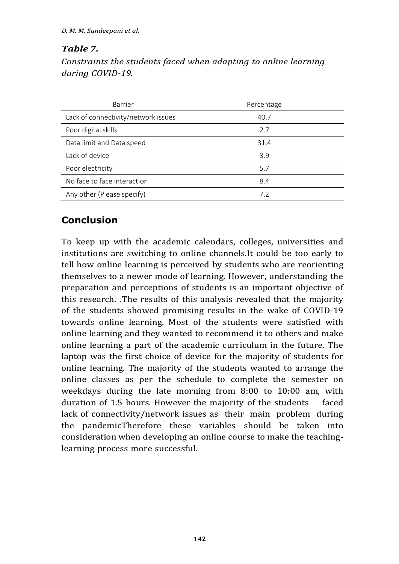### *Table 7.*

*Constraints the students faced when adapting to online learning during COVID-19.*

| Barrier                             | Percentage |
|-------------------------------------|------------|
| Lack of connectivity/network issues | 40.7       |
| Poor digital skills                 | 2.7        |
| Data limit and Data speed           | 31.4       |
| Lack of device                      | 3.9        |
| Poor electricity                    | 5.7        |
| No face to face interaction         | 8.4        |
| Any other (Please specify)          | 7.2        |

# **Conclusion**

To keep up with the academic calendars, colleges, universities and institutions are switching to online channels.It could be too early to tell how online learning is perceived by students who are reorienting themselves to a newer mode of learning. However, understanding the preparation and perceptions of students is an important objective of this research. .The results of this analysis revealed that the majority of the students showed promising results in the wake of COVID-19 towards online learning. Most of the students were satisfied with online learning and they wanted to recommend it to others and make online learning a part of the academic curriculum in the future. The laptop was the first choice of device for the majority of students for online learning. The majority of the students wanted to arrange the online classes as per the schedule to complete the semester on weekdays during the late morning from 8:00 to 10:00 am, with duration of 1.5 hours. However the majority of the students faced lack of connectivity/network issues as their main problem during the pandemicTherefore these variables should be taken into consideration when developing an online course to make the teachinglearning process more successful.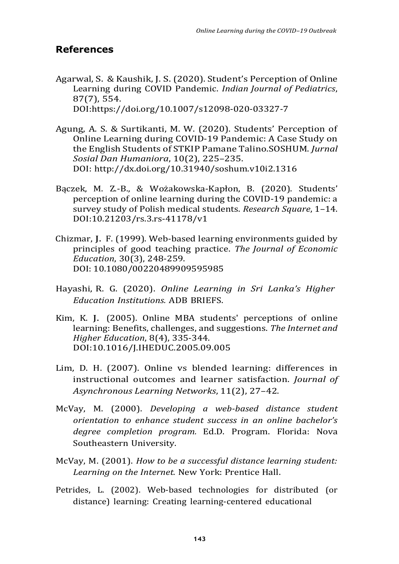#### **References**

- Agarwal, S. & Kaushik, J. S. (2020). Student's Perception of Online Learning during COVID Pandemic. *Indian Journal of Pediatrics*, 87(7), 554. DOI:https://doi.org/10.1007/s12098-020-03327-7
- Agung, A. S. & Surtikanti, M. W. (2020). Students' Perception of Online Learning during COVID-19 Pandemic: A Case Study on the English Students of STKIP Pamane Talino.SOSHUM. *Jurnal Sosial Dan Humaniora*, 10(2), 225–235. DOI: <http://dx.doi.org/10.31940/soshum.v10i2.1316>
- Bączek, M. Z.-B., & Wożakowska-Kapłon, B. (2020). Students' perception of online learning during the COVID-19 pandemic: a survey study of Polish medical students. *Research Square*, 1–14. DOI:10.21203/rs.3.rs-41178/v1
- Chizmar, J. F. (1999). Web-based learning environments guided by principles of good teaching practice. *The Journal of Economic Education*, 30(3), 248-259. DOI: 10.1080/00220489909595985
- Hayashi, R. G. (2020). *Online Learning in Sri Lanka's Higher Education Institutions.* ADB BRIEFS.
- Kim, K. J. (2005). Online MBA students' perceptions of online learning: Benefits, challenges, and suggestions. *The Internet and Higher Education*, 8(4), 335-344. DOI:10.1016/J.IHEDUC.2005.09.005
- Lim, D. H. (2007). Online vs blended learning: differences in instructional outcomes and learner satisfaction. *Journal of Asynchronous Learning Networks*, 11(2), 27–42.
- McVay, M. (2000). *Developing a web-based distance student orientation to enhance student success in an online bachelor's degree completion program.* Ed.D. Program. Florida: Nova Southeastern University.
- McVay, M. (2001). *How to be a successful distance learning student: Learning on the Internet.* New York: Prentice Hall.
- Petrides, L. (2002). Web-based technologies for distributed (or distance) learning: Creating learning-centered educational